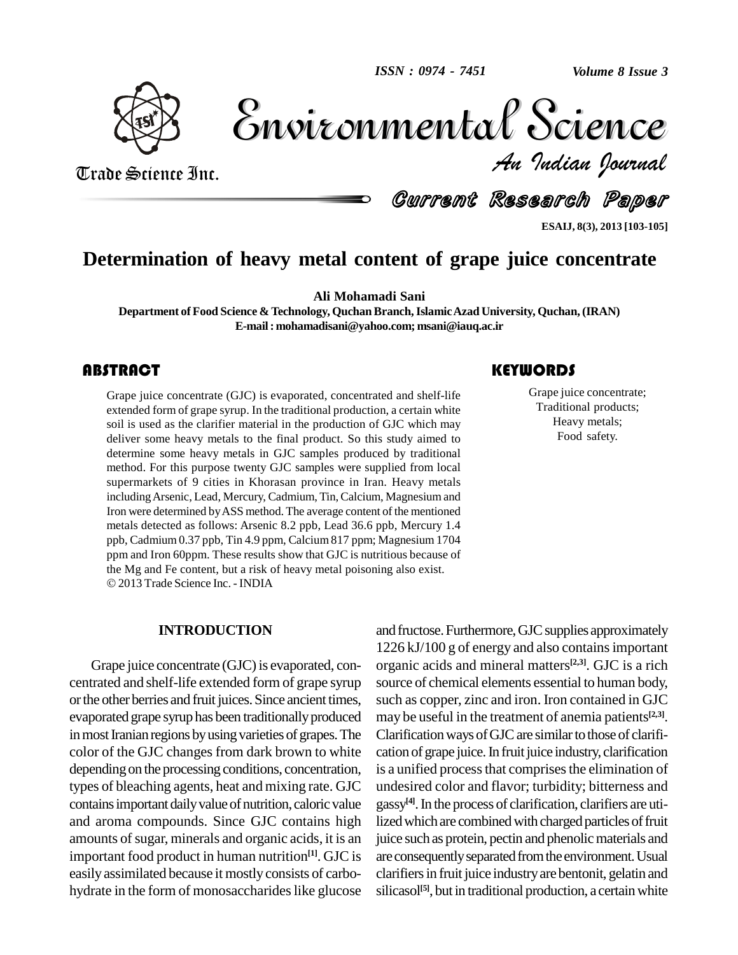

Volume 8 Issue 3 *Indian Journal* Volume 8 Issue 3

Trade Science Inc. Trade Science Inc.

Current Research Paper

**ESAIJ, 8(3), 2013 [103-105]**

## **Determination of heavy metal content of grape juice concentrate**

**Ali Mohamadi Sani**

**Department of Food Science & Technology, Quchan Branch,IslamicAzad University, Quchan, (IRAN) E-mail: [mohamadisani@yahoo.com;](mailto:mohamadisani@yahoo.com;) [msani@iauq.ac.ir](mailto:msani@iauq.ac.ir)**

Grape juice concentrate (GJC) is evaporated, concentrated and shelf-life extended form of grape syrup. In the traditional production, a certain white soil is used as the clarifier material in the production of GJC which ma Grape juice concentrate (GJC) is evaporated, concentrated and shelf-life extended form of grape syrup. In the traditional production, a certain white deliver some heavy metals to the final product. So this study aimed to determine some heavy metals in GJC samples produced by traditional method. For this purpose twenty GJC samples were supplied from local supermarkets of 9 cities in Khorasan province in Iran. Heavy metals includingArsenic, Lead, Mercury, Cadmium, Tin, Calcium, Magnesium and Iron were determined by ASS method. The average content of the mentioned metals detected as follows: Arsenic 8.2 ppb, Lead 36.6 ppb, Mercury 1.4 ppb, Cadmium 0.37 ppb,Tin 4.9 ppm, Calcium 817 ppm; Magnesium 1704 ppm and Iron 60ppm. These results show that GJC is nutritious because of the Mg and Fe content, but <sup>a</sup> risk of heavy metal poisoning also exist. 2013 Trade Science Inc. - INDIA

#### **INTRODUCTION**

Grape juice concentrate (GJC) is evaporated, concentrated and shelf-life extended form of grape syrup or the other berries and fruit juices. Since ancient times, evaporated grape syrup has been traditionally produced in most Iranian regions by using varieties of grapes. The color of the GJC changes from dark brown to white depending on the processing conditions, concentration, types of bleaching agents, heat and mixing rate.GJC contains important daily value of nutrition, caloric value and aroma compounds. Since GJC contains high amounts of sugar, minerals and organic acids, it is an important food product in human nutrition **[1]**. GJC is easily assimilated because it mostlyconsists of carbo hydrate in the form of monosaccharides like glucose

#### **KEYWORDS**

Grape juice concent<br>Traditional produce<br>Heavy metals; Grape juice concentrate; Traditional products; Heavy metals; Food safety.

and fructose. Furthermore, GJC supplies approximately 1226 kJ/100 g of energy and also containsimportant organic acids and mineral matters **[2,3]**. GJC is arich source of chemical elements essential to human body, such as copper, zinc and iron. Iron contained in GJC may be useful in the treatment of anemia patients **[2,3]**. Clarification ways of GJC are similar to those of clarification of grape juice. In fruit juice industry, clarification is a unified process that comprises the elimination of undesired color and flavor; turbidity; bitterness and gassy **[4]**.In the process of clarification, clarifiers are utilized which are combined with charged particles of fruit juice such as protein, pectin and phenolic materials and are consequently separated from the environment. Usual clarifiers in fruit juice industry are bentonit, gelatin and silicasol<sup>[5]</sup>, but in traditional production, a certain white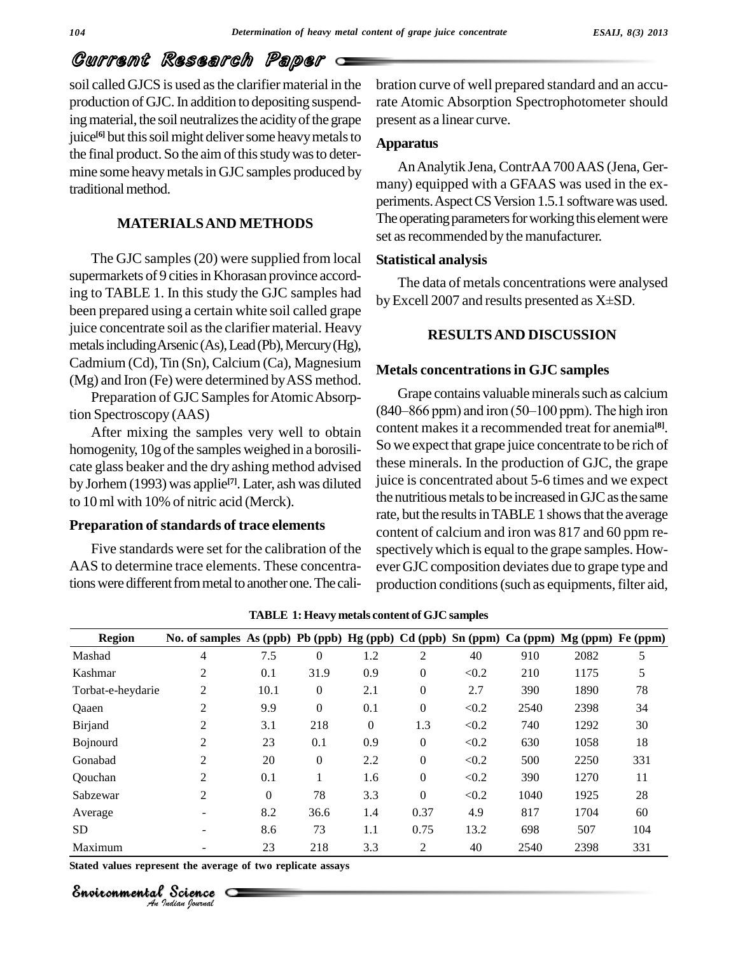# Current Research Paper

soil called GJCS is used as the clarifier material in the production of GJC. In addition to depositing suspending material, the soil neutralizes the acidity of the grape juice<sup>[6]</sup> but this soil might deliver some heavy metals to  $A_{\text{max}}$ the final product. So the aim of this study was to determine some heavy metals in GJC samples produced by traditional method.

#### **MATERIALSAND METHODS**

The GJC samples (20) were supplied from local supermarkets of 9 cities in Khorasan province according to TABLE 1. In this study the GJC samples had been prepared using a certain white soil called grape juice concentrate soil as the clarifier material. Heavy metals including Arsenic (As), Lead (Pb), Mercury (Hg), Cadmium (Cd),Tin (Sn), Calcium (Ca), Magnesium (Mg) and Iron (Fe) were determined byASS method.

Preparation of GJC Samples for Atomic Absorption Spectroscopy (AAS)

After mixing the samples very well to obtain homogenity, 10g of the samples weighed in a borosilicate glass beaker and the dry ashing method advised by Jorhem (1993) was applie **[7]**. Later, ash was diluted to 10ml with 10% of nitric acid (Merck).

#### **Preparation** of standards of trace elements

Five standards were set for the calibration of the AAS to determine trace elements. These concentrations were different from metal to another one. The calibration curve of well prepared standard and an accurate Atomic Absorption Spectrophotometer should present as a linear curve.

#### **Apparatus**

AnAnalytik Jena, ContrAA700AAS (Jena, Ger many) equipped with a GFAAS was used in the ex periments. Aspect CS Version 1.5.1 software was used. The operating parameters for working this element were set as recommended by the manufacturer.

#### **Statistical analysis**

The data of metals concentrations were analysed byExcell <sup>2007</sup> and results presented as <sup>X</sup>±SD.

#### **RESULTSAND DISCUSSION**

#### **Metals concentrationsin GJC samples**

Grape contains valuable minerals such as calcium  $(840–866$  ppm) and iron  $(50–100$  ppm). The high iron content makesit a recommended treat for anemia **[8]**. So we expect that grape juice concentrate to be rich of these minerals. In the production of GJC, the grape juice is concentrated about 5-6 times and we expect the nutritious metals to be increased in GJC as the same rate, but the results in TABLE 1 shows that the average content of calcium and iron was 817 and 60 ppm re spectively which is equal to the grape samples. However GJC composition deviates due to grape type and production conditions (such as equipments, filter aid,

| <b>Region</b>     | No. of samples As (ppb) Pb (ppb) Hg (ppb) Cd (ppb) Sn (ppm) Ca (ppm) Mg (ppm) Fe (ppm) |          |                  |                  |                  |       |      |      |     |
|-------------------|----------------------------------------------------------------------------------------|----------|------------------|------------------|------------------|-------|------|------|-----|
| Mashad            | 4                                                                                      | 7.5      | $\Omega$         | 1.2              | $\overline{2}$   | 40    | 910  | 2082 | 5   |
| Kashmar           | 2                                                                                      | 0.1      | 31.9             | 0.9              | $\boldsymbol{0}$ | < 0.2 | 210  | 1175 | 5   |
| Torbat-e-heydarie | 2                                                                                      | 10.1     | $\theta$         | 2.1              | $\boldsymbol{0}$ | 2.7   | 390  | 1890 | 78  |
| Qaaen             | 2                                                                                      | 9.9      | $\Omega$         | 0.1              | $\boldsymbol{0}$ | < 0.2 | 2540 | 2398 | 34  |
| Birjand           | 2                                                                                      | 3.1      | 218              | $\boldsymbol{0}$ | 1.3              | < 0.2 | 740  | 1292 | 30  |
| Bojnourd          | 2                                                                                      | 23       | 0.1              | 0.9              | $\theta$         | < 0.2 | 630  | 1058 | 18  |
| Gonabad           | 2                                                                                      | 20       | $\boldsymbol{0}$ | 2.2              | $\boldsymbol{0}$ | < 0.2 | 500  | 2250 | 331 |
| Oouchan           | 2                                                                                      | 0.1      |                  | 1.6              | $\theta$         | < 0.2 | 390  | 1270 | 11  |
| Sabzewar          | 2                                                                                      | $\Omega$ | 78               | 3.3              | $\theta$         | < 0.2 | 1040 | 1925 | 28  |
| Average           |                                                                                        | 8.2      | 36.6             | 1.4              | 0.37             | 4.9   | 817  | 1704 | 60  |
| <b>SD</b>         |                                                                                        | 8.6      | 73               | 1.1              | 0.75             | 13.2  | 698  | 507  | 104 |
| Maximum           |                                                                                        | 23       | 218              | 3.3              | 2                | 40    | 2540 | 2398 | 331 |

**TABLE 1: Heavy metals content of GJC samples**

*Indian Journal*